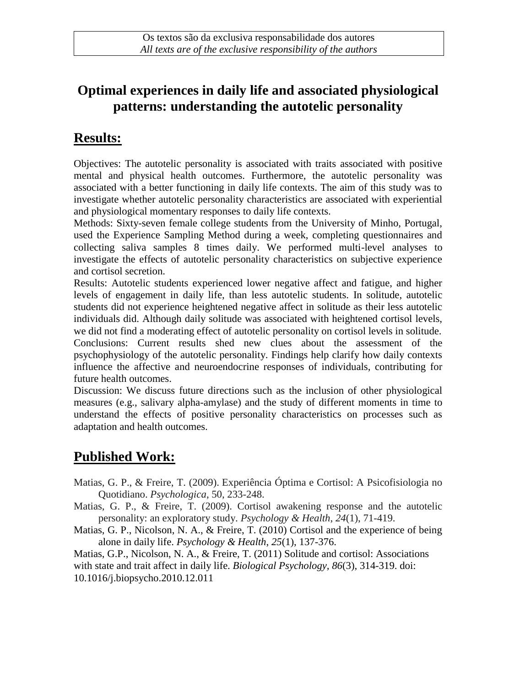### **Optimal experiences in daily life and associated physiological patterns: understanding the autotelic personality**

### **Results:**

Objectives: The autotelic personality is associated with traits associated with positive mental and physical health outcomes. Furthermore, the autotelic personality was associated with a better functioning in daily life contexts. The aim of this study was to investigate whether autotelic personality characteristics are associated with experiential and physiological momentary responses to daily life contexts.

Methods: Sixty-seven female college students from the University of Minho, Portugal, used the Experience Sampling Method during a week, completing questionnaires and collecting saliva samples 8 times daily. We performed multi-level analyses to investigate the effects of autotelic personality characteristics on subjective experience and cortisol secretion.

Results: Autotelic students experienced lower negative affect and fatigue, and higher levels of engagement in daily life, than less autotelic students. In solitude, autotelic students did not experience heightened negative affect in solitude as their less autotelic individuals did. Although daily solitude was associated with heightened cortisol levels, we did not find a moderating effect of autotelic personality on cortisol levels in solitude. Conclusions: Current results shed new clues about the assessment of the psychophysiology of the autotelic personality. Findings help clarify how daily contexts influence the affective and neuroendocrine responses of individuals, contributing for future health outcomes.

Discussion: We discuss future directions such as the inclusion of other physiological measures (e.g., salivary alpha-amylase) and the study of different moments in time to understand the effects of positive personality characteristics on processes such as adaptation and health outcomes.

# **Published Work:**

- Matias, G. P., & Freire, T. (2009). Experiência Óptima e Cortisol: A Psicofisiologia no Quotidiano. *Psychologica*, 50, 233-248.
- Matias, G. P., & Freire, T. (2009). Cortisol awakening response and the autotelic personality: an exploratory study. *Psychology & Health*, *24*(1), 71-419.
- Matias, G. P., Nicolson, N. A., & Freire, T. (2010) Cortisol and the experience of being alone in daily life. *Psychology & Health*, *25*(1), 137-376.

Matias, G.P., Nicolson, N. A., & Freire, T. (2011) Solitude and cortisol: Associations with state and trait affect in daily life. *Biological Psychology, 86*(3), 314-319. doi: 10.1016/j.biopsycho.2010.12.011